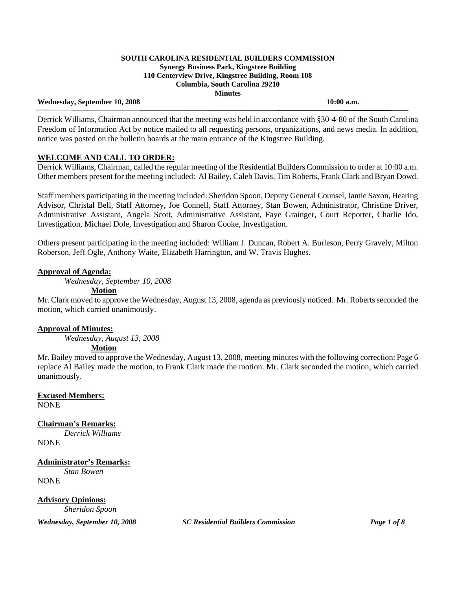#### Wednesday, September 10, 2008 **10:00 a.m. 10:00 a.m.**

 Derrick Williams, Chairman announced that the meeting was held in accordance with §30-4-80 of the South Carolina Freedom of Information Act by notice mailed to all requesting persons, organizations, and news media. In addition, notice was posted on the bulletin boards at the main entrance of the Kingstree Building.

# **WELCOME AND CALL TO ORDER:**

Derrick Williams, Chairman, called the regular meeting of the Residential Builders Commission to order at 10:00 a.m. Other members present for the meeting included: Al Bailey, Caleb Davis, Tim Roberts, Frank Clark and Bryan Dowd.

Staff members participating in the meeting included: Sheridon Spoon, Deputy General Counsel, Jamie Saxon, Hearing Advisor, Christal Bell, Staff Attorney, Joe Connell, Staff Attorney, Stan Bowen, Administrator, Christine Driver, Administrative Assistant, Angela Scott, Administrative Assistant, Faye Grainger, Court Reporter, Charlie Ido, Investigation, Michael Dole, Investigation and Sharon Cooke, Investigation.

Others present participating in the meeting included: William J. Duncan, Robert A. Burleson, Perry Gravely, Milton Roberson, Jeff Ogle, Anthony Waite, Elizabeth Harrington, and W. Travis Hughes.

## **Approval of Agenda:**

*Wednesday, September 10, 2008* 

### **Motion**

Mr. Clark moved to approve the Wednesday, August 13, 2008, agenda as previously noticed. Mr. Roberts seconded the motion, which carried unanimously.

## **Approval of Minutes:**

*Wednesday, August 13, 2008* 

## **Motion**

Mr. Bailey moved to approve the Wednesday, August 13, 2008, meeting minutes with the following correction: Page 6 replace Al Bailey made the motion, to Frank Clark made the motion. Mr. Clark seconded the motion, which carried unanimously.

**Excused Members:** NONE

**Chairman's Remarks:**  *Derrick Williams* **NONE** 

**Administrator's Remarks:** *Stan Bowen* NONE

**Advisory Opinions:**  *Sheridon Spoon*

*Wednesday, September 10, 2008 SC Residential Builders Commission Page 1 of 8*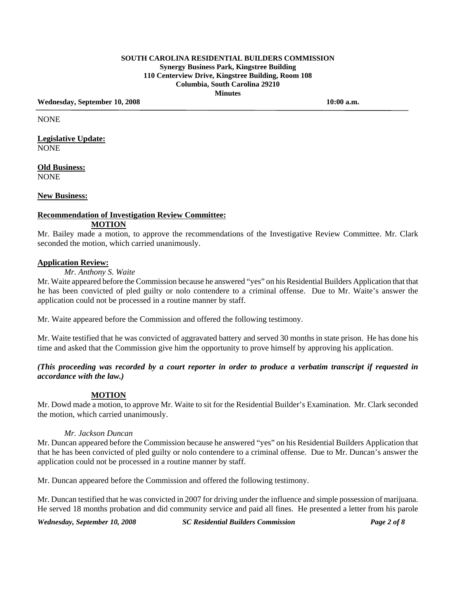Wednesday, September 10, 2008 10:00 a.m.

NONE

**Legislative Update:** NONE

**Old Business:** NONE

### **New Business:**

# **Recommendation of Investigation Review Committee: MOTION**

Mr. Bailey made a motion, to approve the recommendations of the Investigative Review Committee. Mr. Clark seconded the motion, which carried unanimously.

### **Application Review:**

## *Mr. Anthony S. Waite*

Mr. Waite appeared before the Commission because he answered "yes" on his Residential Builders Application that that he has been convicted of pled guilty or nolo contendere to a criminal offense. Due to Mr. Waite's answer the application could not be processed in a routine manner by staff.

Mr. Waite appeared before the Commission and offered the following testimony.

Mr. Waite testified that he was convicted of aggravated battery and served 30 months in state prison. He has done his time and asked that the Commission give him the opportunity to prove himself by approving his application.

# *(This proceeding was recorded by a court reporter in order to produce a verbatim transcript if requested in accordance with the law.)*

## **MOTION**

Mr. Dowd made a motion, to approve Mr. Waite to sit for the Residential Builder's Examination. Mr. Clark seconded the motion, which carried unanimously.

#### *Mr. Jackson Duncan*

Mr. Duncan appeared before the Commission because he answered "yes" on his Residential Builders Application that that he has been convicted of pled guilty or nolo contendere to a criminal offense. Due to Mr. Duncan's answer the application could not be processed in a routine manner by staff.

Mr. Duncan appeared before the Commission and offered the following testimony.

Mr. Duncan testified that he was convicted in 2007 for driving under the influence and simple possession of marijuana. He served 18 months probation and did community service and paid all fines. He presented a letter from his parole

*Wednesday, September 10, 2008 SC Residential Builders Commission Page 2 of 8*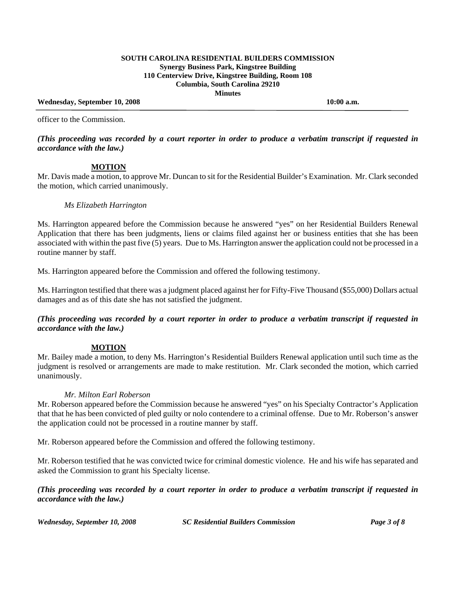### Wednesday, September 10, 2008 **10:00 a.m. 10:00 a.m.**

officer to the Commission.

### *(This proceeding was recorded by a court reporter in order to produce a verbatim transcript if requested in accordance with the law.)*

### **MOTION**

Mr. Davis made a motion, to approve Mr. Duncan to sit for the Residential Builder's Examination. Mr. Clark seconded the motion, which carried unanimously.

### *Ms Elizabeth Harrington*

Ms. Harrington appeared before the Commission because he answered "yes" on her Residential Builders Renewal Application that there has been judgments, liens or claims filed against her or business entities that she has been associated with within the past five (5) years. Due to Ms. Harrington answer the application could not be processed in a routine manner by staff.

Ms. Harrington appeared before the Commission and offered the following testimony.

Ms. Harrington testified that there was a judgment placed against her for Fifty-Five Thousand (\$55,000) Dollars actual damages and as of this date she has not satisfied the judgment.

*(This proceeding was recorded by a court reporter in order to produce a verbatim transcript if requested in accordance with the law.)* 

#### **MOTION**

Mr. Bailey made a motion, to deny Ms. Harrington's Residential Builders Renewal application until such time as the judgment is resolved or arrangements are made to make restitution. Mr. Clark seconded the motion, which carried unanimously.

### *Mr. Milton Earl Roberson*

Mr. Roberson appeared before the Commission because he answered "yes" on his Specialty Contractor's Application that that he has been convicted of pled guilty or nolo contendere to a criminal offense. Due to Mr. Roberson's answer the application could not be processed in a routine manner by staff.

Mr. Roberson appeared before the Commission and offered the following testimony.

Mr. Roberson testified that he was convicted twice for criminal domestic violence. He and his wife has separated and asked the Commission to grant his Specialty license.

*(This proceeding was recorded by a court reporter in order to produce a verbatim transcript if requested in accordance with the law.)* 

*Wednesday, September 10, 2008 SC Residential Builders Commission Page 3 of 8*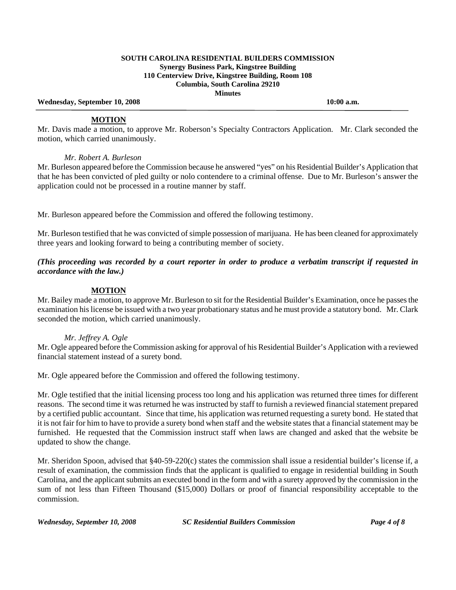Wednesday, September 10, 2008 **10:00 a.m. 10:00 a.m.** 

### **MOTION**

Mr. Davis made a motion, to approve Mr. Roberson's Specialty Contractors Application. Mr. Clark seconded the motion, which carried unanimously.

## *Mr. Robert A. Burleson*

Mr. Burleson appeared before the Commission because he answered "yes" on his Residential Builder's Application that that he has been convicted of pled guilty or nolo contendere to a criminal offense. Due to Mr. Burleson's answer the application could not be processed in a routine manner by staff.

Mr. Burleson appeared before the Commission and offered the following testimony.

Mr. Burleson testified that he was convicted of simple possession of marijuana. He has been cleaned for approximately three years and looking forward to being a contributing member of society.

*(This proceeding was recorded by a court reporter in order to produce a verbatim transcript if requested in accordance with the law.)* 

# **MOTION**

Mr. Bailey made a motion, to approve Mr. Burleson to sit for the Residential Builder's Examination, once he passes the examination his license be issued with a two year probationary status and he must provide a statutory bond. Mr. Clark seconded the motion, which carried unanimously.

## *Mr. Jeffrey A. Ogle*

Mr. Ogle appeared before the Commission asking for approval of his Residential Builder's Application with a reviewed financial statement instead of a surety bond.

Mr. Ogle appeared before the Commission and offered the following testimony.

Mr. Ogle testified that the initial licensing process too long and his application was returned three times for different reasons. The second time it was returned he was instructed by staff to furnish a reviewed financial statement prepared by a certified public accountant. Since that time, his application was returned requesting a surety bond. He stated that it is not fair for him to have to provide a surety bond when staff and the website states that a financial statement may be furnished. He requested that the Commission instruct staff when laws are changed and asked that the website be updated to show the change.

Mr. Sheridon Spoon, advised that §40-59-220(c) states the commission shall issue a residential builder's license if, a result of examination, the commission finds that the applicant is qualified to engage in residential building in South Carolina, and the applicant submits an executed bond in the form and with a surety approved by the commission in the sum of not less than Fifteen Thousand (\$15,000) Dollars or proof of financial responsibility acceptable to the commission.

*Wednesday, September 10, 2008 SC Residential Builders Commission Page 4 of 8*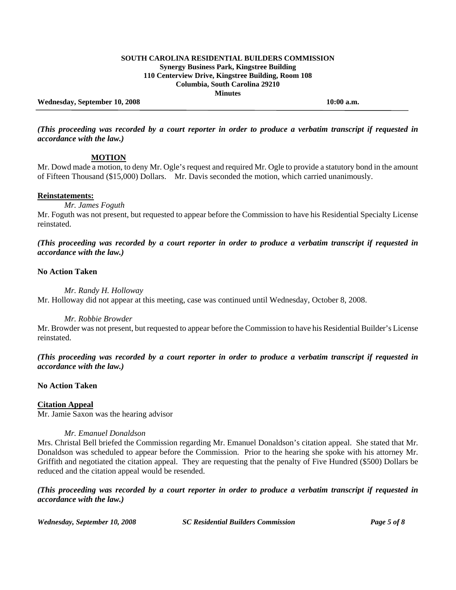### Wednesday, September 10, 2008 **10:00 a.m. 10:00 a.m.**

*(This proceeding was recorded by a court reporter in order to produce a verbatim transcript if requested in accordance with the law.)* 

### **MOTION**

Mr. Dowd made a motion, to deny Mr. Ogle's request and required Mr. Ogle to provide a statutory bond in the amount of Fifteen Thousand (\$15,000) Dollars. Mr. Davis seconded the motion, which carried unanimously.

#### **Reinstatements:**

*Mr. James Foguth* 

Mr. Foguth was not present, but requested to appear before the Commission to have his Residential Specialty License reinstated.

*(This proceeding was recorded by a court reporter in order to produce a verbatim transcript if requested in accordance with the law.)* 

### **No Action Taken**

*Mr. Randy H. Holloway* 

Mr. Holloway did not appear at this meeting, case was continued until Wednesday, October 8, 2008.

### *Mr. Robbie Browder*

Mr. Browder was not present, but requested to appear before the Commission to have his Residential Builder's License reinstated.

*(This proceeding was recorded by a court reporter in order to produce a verbatim transcript if requested in accordance with the law.)* 

# **No Action Taken**

## **Citation Appeal**

Mr. Jamie Saxon was the hearing advisor

#### *Mr. Emanuel Donaldson*

Mrs. Christal Bell briefed the Commission regarding Mr. Emanuel Donaldson's citation appeal. She stated that Mr. Donaldson was scheduled to appear before the Commission. Prior to the hearing she spoke with his attorney Mr. Griffith and negotiated the citation appeal. They are requesting that the penalty of Five Hundred (\$500) Dollars be reduced and the citation appeal would be resended.

*(This proceeding was recorded by a court reporter in order to produce a verbatim transcript if requested in accordance with the law.)* 

*Wednesday, September 10, 2008 SC Residential Builders Commission Page 5 of 8*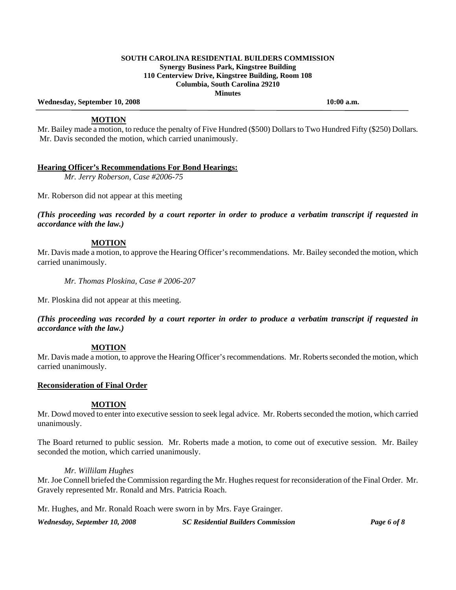Wednesday, September 10, 2008 **10:00 a.m. 10:00 a.m.** 

### **MOTION**

Mr. Bailey made a motion, to reduce the penalty of Five Hundred (\$500) Dollars to Two Hundred Fifty (\$250) Dollars. Mr. Davis seconded the motion, which carried unanimously.

### **Hearing Officer's Recommendations For Bond Hearings:**

 *Mr. Jerry Roberson, Case #2006-75* 

Mr. Roberson did not appear at this meeting

*(This proceeding was recorded by a court reporter in order to produce a verbatim transcript if requested in accordance with the law.)* 

### **MOTION**

Mr. Davis made a motion, to approve the Hearing Officer's recommendations. Mr. Bailey seconded the motion, which carried unanimously.

 *Mr. Thomas Ploskina, Case # 2006-207* 

Mr. Ploskina did not appear at this meeting.

*(This proceeding was recorded by a court reporter in order to produce a verbatim transcript if requested in accordance with the law.)* 

## **MOTION**

Mr. Davis made a motion, to approve the Hearing Officer's recommendations. Mr. Roberts seconded the motion, which carried unanimously.

## **Reconsideration of Final Order**

#### **MOTION**

Mr. Dowd moved to enter into executive session to seek legal advice. Mr. Roberts seconded the motion, which carried unanimously.

The Board returned to public session. Mr. Roberts made a motion, to come out of executive session. Mr. Bailey seconded the motion, which carried unanimously.

## *Mr. Willilam Hughes*

Mr. Joe Connell briefed the Commission regarding the Mr. Hughes request for reconsideration of the Final Order. Mr. Gravely represented Mr. Ronald and Mrs. Patricia Roach.

Mr. Hughes, and Mr. Ronald Roach were sworn in by Mrs. Faye Grainger.

*Wednesday, September 10, 2008 SC Residential Builders Commission Page 6 of 8*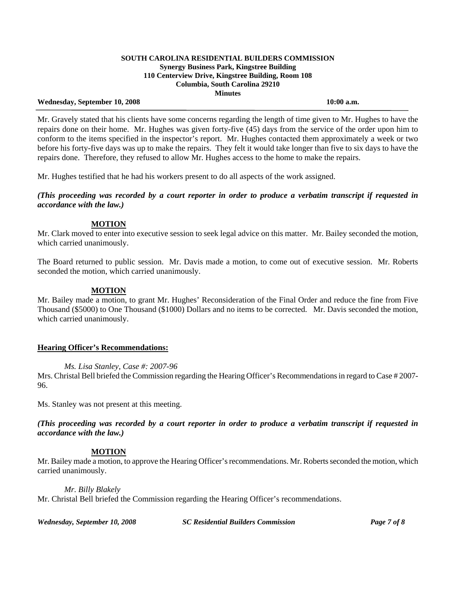#### Wednesday, September 10, 2008 **10:00 a.m. 10:00 a.m.**

Mr. Gravely stated that his clients have some concerns regarding the length of time given to Mr. Hughes to have the repairs done on their home. Mr. Hughes was given forty-five (45) days from the service of the order upon him to conform to the items specified in the inspector's report. Mr. Hughes contacted them approximately a week or two before his forty-five days was up to make the repairs. They felt it would take longer than five to six days to have the repairs done. Therefore, they refused to allow Mr. Hughes access to the home to make the repairs.

Mr. Hughes testified that he had his workers present to do all aspects of the work assigned.

*(This proceeding was recorded by a court reporter in order to produce a verbatim transcript if requested in accordance with the law.)* 

# **MOTION**

Mr. Clark moved to enter into executive session to seek legal advice on this matter. Mr. Bailey seconded the motion, which carried unanimously.

The Board returned to public session. Mr. Davis made a motion, to come out of executive session. Mr. Roberts seconded the motion, which carried unanimously.

# **MOTION**

Mr. Bailey made a motion, to grant Mr. Hughes' Reconsideration of the Final Order and reduce the fine from Five Thousand (\$5000) to One Thousand (\$1000) Dollars and no items to be corrected. Mr. Davis seconded the motion, which carried unanimously.

## **Hearing Officer's Recommendations:**

## *Ms. Lisa Stanley, Case #: 2007-96*

Mrs. Christal Bell briefed the Commission regarding the Hearing Officer's Recommendations in regard to Case # 2007- 96.

Ms. Stanley was not present at this meeting.

*(This proceeding was recorded by a court reporter in order to produce a verbatim transcript if requested in accordance with the law.)* 

## **MOTION**

Mr. Bailey made a motion, to approve the Hearing Officer's recommendations. Mr. Roberts seconded the motion, which carried unanimously.

## *Mr. Billy Blakely*

Mr. Christal Bell briefed the Commission regarding the Hearing Officer's recommendations.

*Wednesday, September 10, 2008 SC Residential Builders Commission Page 7 of 8*